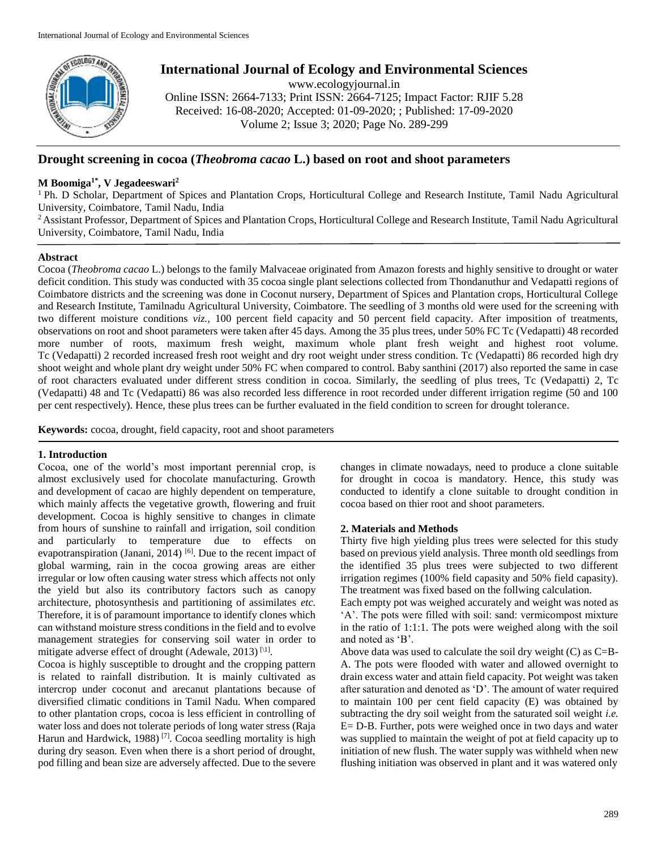

# **International Journal of Ecology and Environmental Sciences**

www.ecologyjournal.in

Online ISSN: 2664-7133; Print ISSN: 2664-7125; Impact Factor: RJIF 5.28 Received: 16-08-2020; Accepted: 01-09-2020; ; Published: 17-09-2020 Volume 2; Issue 3; 2020; Page No. 289-299

# **Drought screening in cocoa (***Theobroma cacao* **L.) based on root and shoot parameters**

# **M Boomiga1\* , V Jegadeeswari<sup>2</sup>**

<sup>1</sup> Ph. D Scholar, Department of Spices and Plantation Crops, Horticultural College and Research Institute, Tamil Nadu Agricultural University, Coimbatore, Tamil Nadu, India

<sup>2</sup> Assistant Professor, Department of Spices and Plantation Crops, Horticultural College and Research Institute, Tamil Nadu Agricultural University, Coimbatore, Tamil Nadu, India

# **Abstract**

Cocoa (*Theobroma cacao* L.) belongs to the family Malvaceae originated from Amazon forests and highly sensitive to drought or water deficit condition. This study was conducted with 35 cocoa single plant selections collected from Thondanuthur and Vedapatti regions of Coimbatore districts and the screening was done in Coconut nursery, Department of Spices and Plantation crops, Horticultural College and Research Institute, Tamilnadu Agricultural University, Coimbatore. The seedling of 3 months old were used for the screening with two different moisture conditions *viz.,* 100 percent field capacity and 50 percent field capacity. After imposition of treatments, observations on root and shoot parameters were taken after 45 days. Among the 35 plus trees, under 50% FC Tc (Vedapatti) 48 recorded more number of roots, maximum fresh weight, maximum whole plant fresh weight and highest root volume. Tc (Vedapatti) 2 recorded increased fresh root weight and dry root weight under stress condition. Tc (Vedapatti) 86 recorded high dry shoot weight and whole plant dry weight under 50% FC when compared to control. Baby santhini (2017) also reported the same in case of root characters evaluated under different stress condition in cocoa. Similarly, the seedling of plus trees, Tc (Vedapatti) 2, Tc (Vedapatti) 48 and Tc (Vedapatti) 86 was also recorded less difference in root recorded under different irrigation regime (50 and 100 per cent respectively). Hence, these plus trees can be further evaluated in the field condition to screen for drought tolerance.

**Keywords:** cocoa, drought, field capacity, root and shoot parameters

# **1. Introduction**

Cocoa, one of the world's most important perennial crop, is almost exclusively used for chocolate manufacturing. Growth and development of cacao are highly dependent on temperature, which mainly affects the vegetative growth, flowering and fruit development. Cocoa is highly sensitive to changes in climate from hours of sunshine to rainfall and irrigation, soil condition and particularly to temperature due to effects on evapotranspiration (Janani, 2014)  $[6]$ . Due to the recent impact of global warming, rain in the cocoa growing areas are either irregular or low often causing water stress which affects not only the yield but also its contributory factors such as canopy architecture, photosynthesis and partitioning of assimilates *etc.*  Therefore, it is of paramount importance to identify clones which can withstand moisture stress conditions in the field and to evolve management strategies for conserving soil water in order to mitigate adverse effect of drought (Adewale, 2013)  $\mathbb{N}^1$ .

Cocoa is highly susceptible to drought and the cropping pattern is related to rainfall distribution. It is mainly cultivated as intercrop under coconut and arecanut plantations because of diversified climatic conditions in Tamil Nadu. When compared to other plantation crops, cocoa is less efficient in controlling of water loss and does not tolerate periods of long water stress (Raja Harun and Hardwick, 1988)<sup>[7]</sup>. Cocoa seedling mortality is high during dry season. Even when there is a short period of drought, pod filling and bean size are adversely affected. Due to the severe

changes in climate nowadays, need to produce a clone suitable for drought in cocoa is mandatory. Hence, this study was conducted to identify a clone suitable to drought condition in cocoa based on thier root and shoot parameters.

# **2. Materials and Methods**

Thirty five high yielding plus trees were selected for this study based on previous yield analysis. Three month old seedlings from the identified 35 plus trees were subjected to two different irrigation regimes (100% field capasity and 50% field capasity). The treatment was fixed based on the follwing calculation.

Each empty pot was weighed accurately and weight was noted as 'A'. The pots were filled with soil: sand: vermicompost mixture in the ratio of 1:1:1. The pots were weighed along with the soil and noted as 'B'.

Above data was used to calculate the soil dry weight  $(C)$  as  $C = B - B$ A. The pots were flooded with water and allowed overnight to drain excess water and attain field capacity. Pot weight was taken after saturation and denoted as 'D'. The amount of water required to maintain 100 per cent field capacity (E) was obtained by subtracting the dry soil weight from the saturated soil weight *i.e.* E= D-B. Further, pots were weighed once in two days and water was supplied to maintain the weight of pot at field capacity up to initiation of new flush. The water supply was withheld when new flushing initiation was observed in plant and it was watered only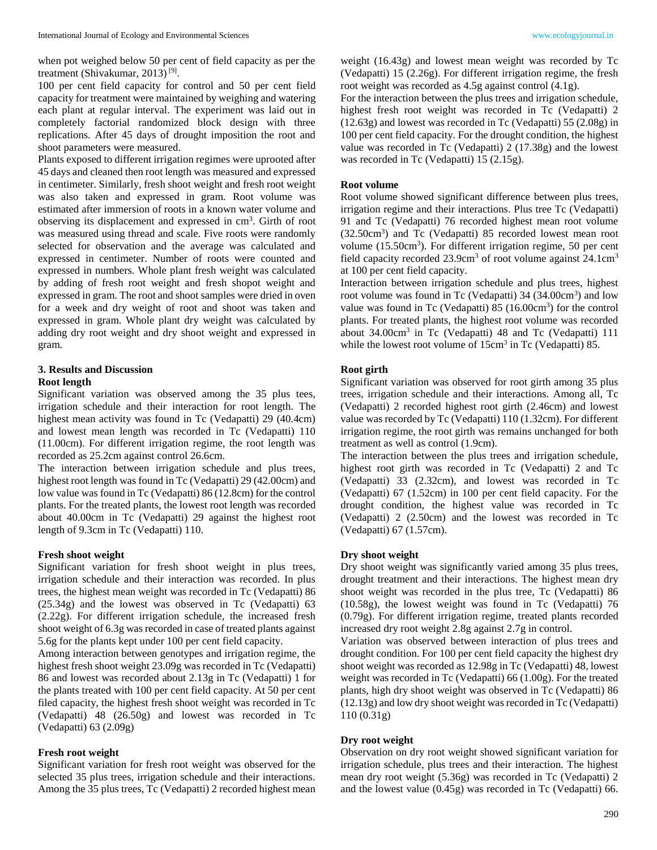when pot weighed below 50 per cent of field capacity as per the treatment (Shivakumar, 2013)<sup>[9]</sup>.

100 per cent field capacity for control and 50 per cent field capacity for treatment were maintained by weighing and watering each plant at regular interval. The experiment was laid out in completely factorial randomized block design with three replications. After 45 days of drought imposition the root and shoot parameters were measured.

Plants exposed to different irrigation regimes were uprooted after 45 days and cleaned then root length was measured and expressed in centimeter. Similarly, fresh shoot weight and fresh root weight was also taken and expressed in gram. Root volume was estimated after immersion of roots in a known water volume and observing its displacement and expressed in cm<sup>3</sup>. Girth of root was measured using thread and scale. Five roots were randomly selected for observation and the average was calculated and expressed in centimeter. Number of roots were counted and expressed in numbers. Whole plant fresh weight was calculated by adding of fresh root weight and fresh shopot weight and expressed in gram. The root and shoot samples were dried in oven for a week and dry weight of root and shoot was taken and expressed in gram. Whole plant dry weight was calculated by adding dry root weight and dry shoot weight and expressed in gram.

#### **3. Results and Discussion Root length**

Significant variation was observed among the 35 plus tees, irrigation schedule and their interaction for root length. The highest mean activity was found in Tc (Vedapatti) 29 (40.4cm) and lowest mean length was recorded in Tc (Vedapatti) 110 (11.00cm). For different irrigation regime, the root length was recorded as 25.2cm against control 26.6cm.

The interaction between irrigation schedule and plus trees, highest root length was found in Tc (Vedapatti) 29 (42.00cm) and low value was found in Tc (Vedapatti) 86 (12.8cm) for the control plants. For the treated plants, the lowest root length was recorded about 40.00cm in Tc (Vedapatti) 29 against the highest root length of 9.3cm in Tc (Vedapatti) 110.

## **Fresh shoot weight**

Significant variation for fresh shoot weight in plus trees, irrigation schedule and their interaction was recorded. In plus trees, the highest mean weight was recorded in Tc (Vedapatti) 86 (25.34g) and the lowest was observed in Tc (Vedapatti) 63 (2.22g). For different irrigation schedule, the increased fresh shoot weight of 6.3g was recorded in case of treated plants against 5.6g for the plants kept under 100 per cent field capacity.

Among interaction between genotypes and irrigation regime, the highest fresh shoot weight 23.09g was recorded in Tc (Vedapatti) 86 and lowest was recorded about 2.13g in Tc (Vedapatti) 1 for the plants treated with 100 per cent field capacity. At 50 per cent filed capacity, the highest fresh shoot weight was recorded in Tc (Vedapatti) 48 (26.50g) and lowest was recorded in Tc (Vedapatti) 63 (2.09g)

#### **Fresh root weight**

Significant variation for fresh root weight was observed for the selected 35 plus trees, irrigation schedule and their interactions. Among the 35 plus trees, Tc (Vedapatti) 2 recorded highest mean

weight (16.43g) and lowest mean weight was recorded by Tc (Vedapatti) 15 (2.26g). For different irrigation regime, the fresh root weight was recorded as 4.5g against control (4.1g).

For the interaction between the plus trees and irrigation schedule, highest fresh root weight was recorded in Tc (Vedapatti) 2 (12.63g) and lowest was recorded in Tc (Vedapatti) 55 (2.08g) in 100 per cent field capacity. For the drought condition, the highest value was recorded in Tc (Vedapatti) 2 (17.38g) and the lowest was recorded in Tc (Vedapatti) 15 (2.15g).

#### **Root volume**

Root volume showed significant difference between plus trees, irrigation regime and their interactions. Plus tree Tc (Vedapatti) 91 and Tc (Vedapatti) 76 recorded highest mean root volume (32.50cm<sup>3</sup> ) and Tc (Vedapatti) 85 recorded lowest mean root volume (15.50cm<sup>3</sup>). For different irrigation regime, 50 per cent field capacity recorded  $23.9 \text{cm}^3$  of root volume against  $24.1 \text{cm}^3$ at 100 per cent field capacity.

Interaction between irrigation schedule and plus trees, highest root volume was found in Tc (Vedapatti) 34 (34.00cm<sup>3</sup>) and low value was found in Tc (Vedapatti)  $85$  (16.00 $cm<sup>3</sup>$ ) for the control plants. For treated plants, the highest root volume was recorded about 34.00cm<sup>3</sup> in Tc (Vedapatti) 48 and Tc (Vedapatti) 111 while the lowest root volume of  $15 \text{cm}^3$  in Tc (Vedapatti) 85.

## **Root girth**

Significant variation was observed for root girth among 35 plus trees, irrigation schedule and their interactions. Among all, Tc (Vedapatti) 2 recorded highest root girth (2.46cm) and lowest value was recorded by Tc (Vedapatti) 110 (1.32cm). For different irrigation regime, the root girth was remains unchanged for both treatment as well as control (1.9cm).

The interaction between the plus trees and irrigation schedule, highest root girth was recorded in Tc (Vedapatti) 2 and Tc (Vedapatti) 33 (2.32cm), and lowest was recorded in Tc (Vedapatti) 67 (1.52cm) in 100 per cent field capacity. For the drought condition, the highest value was recorded in Tc (Vedapatti) 2 (2.50cm) and the lowest was recorded in Tc (Vedapatti) 67 (1.57cm).

#### **Dry shoot weight**

Dry shoot weight was significantly varied among 35 plus trees, drought treatment and their interactions. The highest mean dry shoot weight was recorded in the plus tree, Tc (Vedapatti) 86 (10.58g), the lowest weight was found in Tc (Vedapatti) 76 (0.79g). For different irrigation regime, treated plants recorded increased dry root weight 2.8g against 2.7g in control.

Variation was observed between interaction of plus trees and drought condition. For 100 per cent field capacity the highest dry shoot weight was recorded as 12.98g in Tc (Vedapatti) 48, lowest weight was recorded in Tc (Vedapatti) 66 (1.00g). For the treated plants, high dry shoot weight was observed in Tc (Vedapatti) 86 (12.13g) and low dry shoot weight was recorded in Tc (Vedapatti) 110 (0.31g)

#### **Dry root weight**

Observation on dry root weight showed significant variation for irrigation schedule, plus trees and their interaction. The highest mean dry root weight (5.36g) was recorded in Tc (Vedapatti) 2 and the lowest value (0.45g) was recorded in Tc (Vedapatti) 66.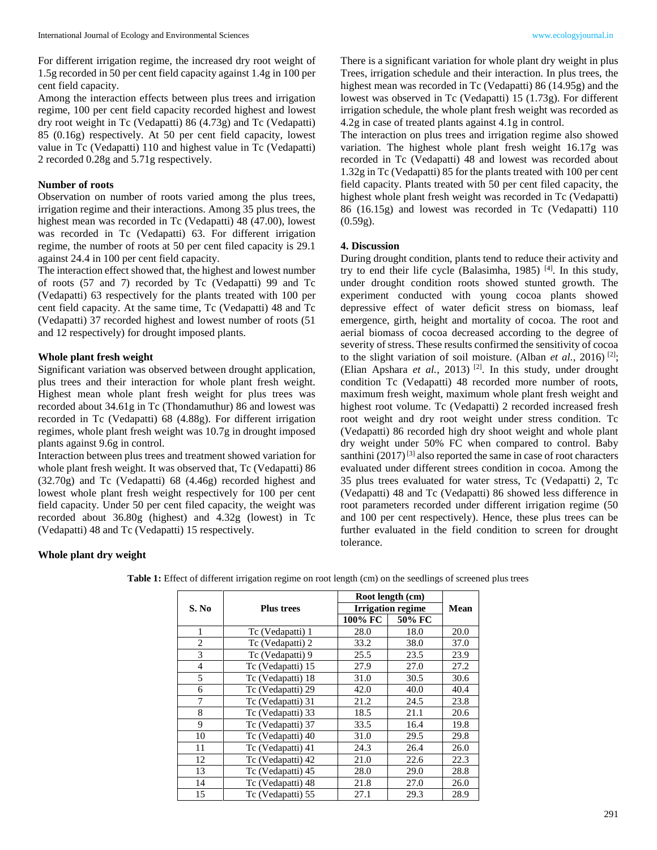For different irrigation regime, the increased dry root weight of 1.5g recorded in 50 per cent field capacity against 1.4g in 100 per cent field capacity.

Among the interaction effects between plus trees and irrigation regime, 100 per cent field capacity recorded highest and lowest dry root weight in Tc (Vedapatti) 86 (4.73g) and Tc (Vedapatti) 85 (0.16g) respectively. At 50 per cent field capacity, lowest value in Tc (Vedapatti) 110 and highest value in Tc (Vedapatti) 2 recorded 0.28g and 5.71g respectively.

## **Number of roots**

Observation on number of roots varied among the plus trees, irrigation regime and their interactions. Among 35 plus trees, the highest mean was recorded in Tc (Vedapatti) 48 (47.00), lowest was recorded in Tc (Vedapatti) 63. For different irrigation regime, the number of roots at 50 per cent filed capacity is 29.1 against 24.4 in 100 per cent field capacity.

The interaction effect showed that, the highest and lowest number of roots (57 and 7) recorded by Tc (Vedapatti) 99 and Tc (Vedapatti) 63 respectively for the plants treated with 100 per cent field capacity. At the same time, Tc (Vedapatti) 48 and Tc (Vedapatti) 37 recorded highest and lowest number of roots (51 and 12 respectively) for drought imposed plants.

# **Whole plant fresh weight**

Significant variation was observed between drought application, plus trees and their interaction for whole plant fresh weight. Highest mean whole plant fresh weight for plus trees was recorded about 34.61g in Tc (Thondamuthur) 86 and lowest was recorded in Tc (Vedapatti) 68 (4.88g). For different irrigation regimes, whole plant fresh weight was 10.7g in drought imposed plants against 9.6g in control.

Interaction between plus trees and treatment showed variation for whole plant fresh weight. It was observed that, Tc (Vedapatti) 86 (32.70g) and Tc (Vedapatti) 68 (4.46g) recorded highest and lowest whole plant fresh weight respectively for 100 per cent field capacity. Under 50 per cent filed capacity, the weight was recorded about 36.80g (highest) and 4.32g (lowest) in Tc (Vedapatti) 48 and Tc (Vedapatti) 15 respectively.

There is a significant variation for whole plant dry weight in plus Trees, irrigation schedule and their interaction. In plus trees, the highest mean was recorded in Tc (Vedapatti) 86 (14.95g) and the lowest was observed in Tc (Vedapatti) 15 (1.73g). For different irrigation schedule, the whole plant fresh weight was recorded as 4.2g in case of treated plants against 4.1g in control.

The interaction on plus trees and irrigation regime also showed variation. The highest whole plant fresh weight 16.17g was recorded in Tc (Vedapatti) 48 and lowest was recorded about 1.32g in Tc (Vedapatti) 85 for the plants treated with 100 per cent field capacity. Plants treated with 50 per cent filed capacity, the highest whole plant fresh weight was recorded in Tc (Vedapatti) 86 (16.15g) and lowest was recorded in Tc (Vedapatti) 110  $(0.59g)$ .

## **4. Discussion**

During drought condition, plants tend to reduce their activity and try to end their life cycle (Balasimha, 1985)  $[4]$ . In this study, under drought condition roots showed stunted growth. The experiment conducted with young cocoa plants showed depressive effect of water deficit stress on biomass, leaf emergence, girth, height and mortality of cocoa. The root and aerial biomass of cocoa decreased according to the degree of severity of stress. These results confirmed the sensitivity of cocoa to the slight variation of soil moisture. (Alban *et al.*, 2016) [2]; (Elian Apshara *et al.*, 2013)<sup>[2]</sup>. In this study, under drought condition Tc (Vedapatti) 48 recorded more number of roots, maximum fresh weight, maximum whole plant fresh weight and highest root volume. Tc (Vedapatti) 2 recorded increased fresh root weight and dry root weight under stress condition. Tc (Vedapatti) 86 recorded high dry shoot weight and whole plant dry weight under 50% FC when compared to control. Baby santhini  $(2017)^{[3]}$  also reported the same in case of root characters evaluated under different strees condition in cocoa. Among the 35 plus trees evaluated for water stress, Tc (Vedapatti) 2, Tc (Vedapatti) 48 and Tc (Vedapatti) 86 showed less difference in root parameters recorded under different irrigation regime (50 and 100 per cent respectively). Hence, these plus trees can be further evaluated in the field condition to screen for drought tolerance.

# **Whole plant dry weight**

|                |                   | Root length (cm) |                          |      |  |
|----------------|-------------------|------------------|--------------------------|------|--|
| S. No          | <b>Plus trees</b> |                  | <b>Irrigation regime</b> |      |  |
|                |                   | 100% FC          | 50% FC                   |      |  |
| 1              | Tc (Vedapatti) 1  | 28.0             | 18.0                     | 20.0 |  |
| $\mathfrak{D}$ | Tc (Vedapatti) 2  | 33.2             | 38.0                     | 37.0 |  |
| 3              | Tc (Vedapatti) 9  | 25.5             | 23.5                     | 23.9 |  |
| 4              | Tc (Vedapatti) 15 | 27.9             | 27.0                     | 27.2 |  |
| 5              | Tc (Vedapatti) 18 | 31.0             | 30.5                     | 30.6 |  |
| 6              | Tc (Vedapatti) 29 | 42.0             | 40.0                     | 40.4 |  |
| 7              | Tc (Vedapatti) 31 | 21.2             | 24.5                     | 23.8 |  |
| 8              | Tc (Vedapatti) 33 | 18.5             | 21.1                     | 20.6 |  |
| 9              | Tc (Vedapatti) 37 | 33.5             | 16.4                     | 19.8 |  |
| 10             | Tc (Vedapatti) 40 | 31.0             | 29.5                     | 29.8 |  |
| 11             | Tc (Vedapatti) 41 | 24.3             | 26.4                     | 26.0 |  |
| 12             | Tc (Vedapatti) 42 | 21.0             | 22.6                     | 22.3 |  |
| 13             | Tc (Vedapatti) 45 | 28.0             | 29.0                     | 28.8 |  |
| 14             | Tc (Vedapatti) 48 | 21.8             | 27.0                     | 26.0 |  |
| 15             | Tc (Vedapatti) 55 | 27.1             | 29.3                     | 28.9 |  |

**Table 1:** Effect of different irrigation regime on root length (cm) on the seedlings of screened plus trees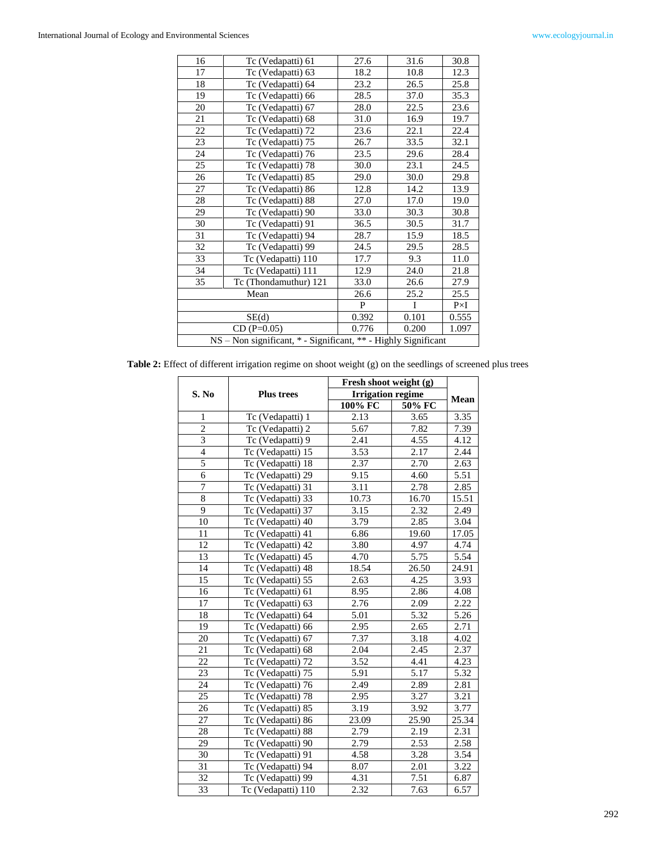| 16 | Tc (Vedapatti) 61                                              | 27.6  | 31.6  | 30.8        |
|----|----------------------------------------------------------------|-------|-------|-------------|
| 17 | Tc (Vedapatti) 63                                              | 18.2  | 10.8  | 12.3        |
| 18 | Tc (Vedapatti) 64                                              | 23.2  | 26.5  | 25.8        |
| 19 | Tc (Vedapatti) 66                                              | 28.5  | 37.0  | 35.3        |
| 20 | Tc (Vedapatti) 67                                              | 28.0  | 22.5  | 23.6        |
| 21 | Tc (Vedapatti) 68                                              | 31.0  | 16.9  | 19.7        |
| 22 | Tc (Vedapatti) 72                                              | 23.6  | 22.1  | 22.4        |
| 23 | Tc (Vedapatti) 75                                              | 26.7  | 33.5  | 32.1        |
| 24 | Tc (Vedapatti) 76                                              | 23.5  | 29.6  | 28.4        |
| 25 | Tc (Vedapatti) 78                                              | 30.0  | 23.1  | 24.5        |
| 26 | Tc (Vedapatti) 85                                              | 29.0  | 30.0  | 29.8        |
| 27 | Tc (Vedapatti) 86                                              | 12.8  | 14.2  | 13.9        |
| 28 | Tc (Vedapatti) 88                                              | 27.0  | 17.0  | 19.0        |
| 29 | Tc (Vedapatti) 90                                              | 33.0  | 30.3  | 30.8        |
| 30 | Tc (Vedapatti) 91                                              | 36.5  | 30.5  | 31.7        |
| 31 | Tc (Vedapatti) 94                                              | 28.7  | 15.9  | 18.5        |
| 32 | Tc (Vedapatti) 99                                              | 24.5  | 29.5  | 28.5        |
| 33 | Tc (Vedapatti) 110                                             | 17.7  | 9.3   | 11.0        |
| 34 | Tc (Vedapatti) 111                                             | 12.9  | 24.0  | 21.8        |
| 35 | Tc (Thondamuthur) 121                                          | 33.0  | 26.6  | 27.9        |
|    | Mean                                                           | 26.6  | 25.2  | 25.5        |
|    |                                                                | P     | I     | $P\times I$ |
|    | SE(d)                                                          | 0.392 | 0.101 | 0.555       |
|    | $CD(P=0.05)$                                                   | 0.776 | 0.200 | 1.097       |
|    | NS - Non significant, * - Significant, ** - Highly Significant |       |       |             |

**Table 2:** Effect of different irrigation regime on shoot weight (g) on the seedlings of screened plus trees

|                 |                                       | Fresh shoot weight (g)   |                   |                   |
|-----------------|---------------------------------------|--------------------------|-------------------|-------------------|
| S. No           | <b>Plus trees</b>                     | <b>Irrigation regime</b> |                   |                   |
|                 |                                       | 100% FC                  | 50% FC            | Mean              |
| $\mathbf{1}$    | Tc (Vedapatti) 1                      | 2.13                     | 3.65              | 3.35              |
| $\overline{2}$  | Tc (Vedapatti) 2                      | 5.67                     | 7.82              | 7.39              |
| $\overline{3}$  | Tc (Vedapatti) 9                      | 2.41                     | 4.55              | 4.12              |
| $\overline{4}$  | Tc (Vedapatti) 15                     | 3.53                     | 2.17              | 2.44              |
| $\overline{5}$  | Tc (Vedapatti) 18                     | 2.37                     | 2.70              | 2.63              |
| 6               | Tc (Vedapatti) 29                     | 9.15                     | 4.60              | 5.51              |
| $\overline{7}$  | Tc (Vedapatti) 31                     | 3.11                     | 2.78              | 2.85              |
| 8               | Tc (Vedapatti) 33                     | 10.73                    | 16.70             | 15.51             |
| 9               | Tc (Vedapatti) 37                     | 3.15                     | 2.32              | 2.49              |
| 10              | Tc (Vedapatti) 40                     | 3.79                     | 2.85              | 3.04              |
| 11              | Tc (Vedapatti) 41                     | 6.86                     | 19.60             | 17.05             |
| 12              | Tc (Vedapatti) 42                     | 3.80                     | 4.97              | 4.74              |
| 13              | Tc (Vedapatti) 45                     | 4.70                     | 5.75              | 5.54              |
| 14              | Tc (Vedapatti) 48                     | 18.54                    | 26.50             | 24.91             |
| 15              | Tc (Vedapatti) 55                     | 2.63                     | 4.25              | 3.93              |
| 16              | Tc (Vedapatti) 61                     | 8.95                     | 2.86              | 4.08              |
| 17              | $\overline{\text{Tc}}$ (Vedapatti) 63 | 2.76                     | 2.09              | 2.22              |
| 18              | Tc (Vedapatti) 64                     | 5.01                     | $\overline{5.32}$ | 5.26              |
| 19              | Tc (Vedapatti) 66                     | 2.95                     | 2.65              | $\overline{2.71}$ |
| 20              | Tc (Vedapatti) 67                     | 7.37                     | 3.18              | 4.02              |
| 21              | Tc (Vedapatti) 68                     | 2.04                     | 2.45              | 2.37              |
| 22              | Tc (Vedapatti) 72                     | 3.52                     | 4.41              | 4.23              |
| 23              | Tc (Vedapatti) 75                     | 5.91                     | 5.17              | 5.32              |
| 24              | Tc (Vedapatti) 76                     | 2.49                     | 2.89              | 2.81              |
| 25              | Tc (Vedapatti) 78                     | 2.95                     | 3.27              | 3.21              |
| 26              | Tc (Vedapatti) 85                     | 3.19                     | 3.92              | 3.77              |
| 27              | Tc (Vedapatti) 86                     | 23.09                    | 25.90             | 25.34             |
| 28              | Tc (Vedapatti) 88                     | 2.79                     | 2.19              | 2.31              |
| 29              | Tc (Vedapatti) 90                     | 2.79                     | 2.53              | 2.58              |
| 30              | Tc (Vedapatti) 91                     | 4.58                     | 3.28              | 3.54              |
| 31              | Tc (Vedapatti) 94                     | 8.07                     | 2.01              | 3.22              |
| 32              | Tc (Vedapatti) 99                     | $\overline{4.31}$        | 7.51              | 6.87              |
| $\overline{3}3$ | Tc (Vedapatti) 110                    | 2.32                     | 7.63              | 6.57              |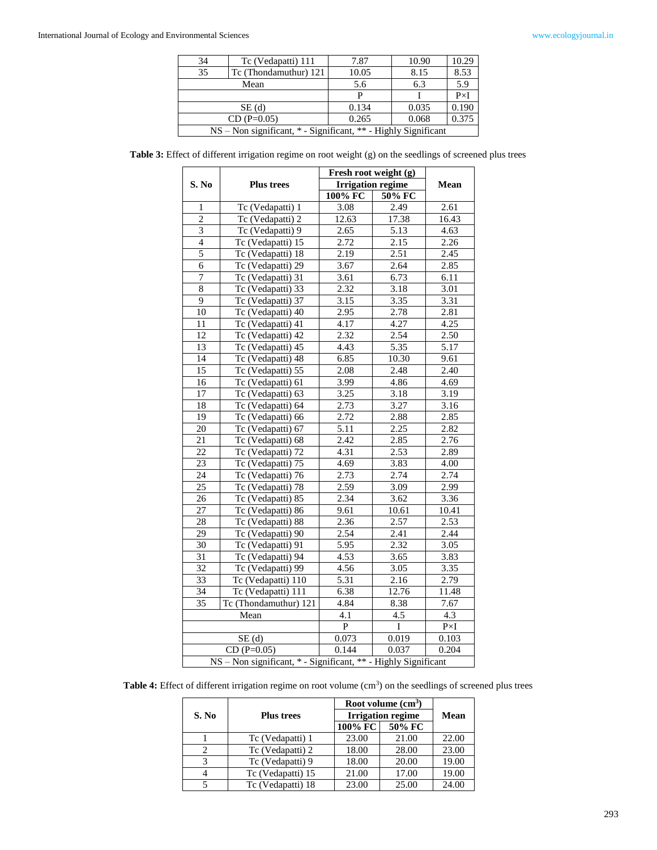| 34                                                             | Tc (Vedapatti) 111    | 7.87  | 10.90 | 10.29       |  |
|----------------------------------------------------------------|-----------------------|-------|-------|-------------|--|
| 35                                                             | Tc (Thondamuthur) 121 | 10.05 | 8.15  | 8.53        |  |
| Mean                                                           |                       | 5.6   | 6.3   | 5.9         |  |
|                                                                |                       |       |       | $P\times I$ |  |
| SE(d)                                                          |                       | 0.134 | 0.035 | 0.190       |  |
|                                                                | $CD (P=0.05)$         | 0.265 | 0.068 | 0.375       |  |
| NS – Non significant, * - Significant, ** - Highly Significant |                       |       |       |             |  |

Table 3: Effect of different irrigation regime on root weight (g) on the seedlings of screened plus trees

|                 |                                                                | Fresh root weight (g) |        |             |
|-----------------|----------------------------------------------------------------|-----------------------|--------|-------------|
| S. No           | <b>Plus trees</b><br><b>Irrigation regime</b>                  |                       | Mean   |             |
|                 |                                                                | 100% FC               | 50% FC |             |
| 1               | Tc (Vedapatti) 1                                               | 3.08                  | 2.49   | 2.61        |
| $\overline{2}$  | Tc (Vedapatti) 2                                               | 12.63                 | 17.38  | 16.43       |
| $\overline{3}$  | Tc (Vedapatti) 9                                               | $\overline{2.65}$     | 5.13   | 4.63        |
| $\overline{4}$  | Tc (Vedapatti) 15                                              | 2.72                  | 2.15   | 2.26        |
| 5               | Tc (Vedapatti) 18                                              | 2.19                  | 2.51   | 2.45        |
| $\overline{6}$  | Tc (Vedapatti) 29                                              | 3.67                  | 2.64   | 2.85        |
| $\overline{7}$  | Tc (Vedapatti) 31                                              | 3.61                  | 6.73   | 6.11        |
| $\overline{8}$  | Tc (Vedapatti) 33                                              | 2.32                  | 3.18   | 3.01        |
| $\overline{9}$  | Tc (Vedapatti) 37                                              | 3.15                  | 3.35   | 3.31        |
| 10              | Tc (Vedapatti) 40                                              | 2.95                  | 2.78   | 2.81        |
| 11              | Tc (Vedapatti) 41                                              | 4.17                  | 4.27   | 4.25        |
| 12              | Tc (Vedapatti) 42                                              | 2.32                  | 2.54   | 2.50        |
| 13              | Tc (Vedapatti) 45                                              | 4.43                  | 5.35   | 5.17        |
| 14              | Tc (Vedapatti) 48                                              | 6.85                  | 10.30  | 9.61        |
| 15              | Tc (Vedapatti) 55                                              | 2.08                  | 2.48   | 2.40        |
| 16              | Tc (Vedapatti) 61                                              | 3.99                  | 4.86   | 4.69        |
| $\overline{17}$ | Tc (Vedapatti) 63                                              | 3.25                  | 3.18   | 3.19        |
| 18              | Tc (Vedapatti) 64                                              | 2.73                  | 3.27   | 3.16        |
| $\overline{19}$ | Tc (Vedapatti) 66                                              | 2.72                  | 2.88   | 2.85        |
| $\overline{20}$ | Tc (Vedapatti) 67                                              | 5.11                  | 2.25   | 2.82        |
| $\overline{21}$ | Tc (Vedapatti) 68                                              | 2.42                  | 2.85   | 2.76        |
| 22              | Tc (Vedapatti) 72                                              | 4.31                  | 2.53   | 2.89        |
| $\overline{23}$ | Tc (Vedapatti) 75                                              | $\overline{4.69}$     | 3.83   | 4.00        |
| $\overline{24}$ | Tc (Vedapatti) 76                                              | 2.73                  | 2.74   | 2.74        |
| 25              | Tc (Vedapatti) 78                                              | 2.59                  | 3.09   | 2.99        |
| 26              | Tc (Vedapatti) 85                                              | 2.34                  | 3.62   | 3.36        |
| 27              | Tc (Vedapatti) 86                                              | 9.61                  | 10.61  | 10.41       |
| 28              | Tc (Vedapatti) 88                                              | 2.36                  | 2.57   | 2.53        |
| 29              | Tc (Vedapatti) 90                                              | 2.54                  | 2.41   | 2.44        |
| 30              | Tc (Vedapatti) 91                                              | 5.95                  | 2.32   | 3.05        |
| 31              | Tc (Vedapatti) 94                                              | 4.53                  | 3.65   | 3.83        |
| 32              | Tc (Vedapatti) 99                                              | 4.56                  | 3.05   | 3.35        |
| $\overline{33}$ | Tc (Vedapatti) 110                                             | 5.31                  | 2.16   | 2.79        |
| 34              | Tc (Vedapatti) 111                                             | 6.38                  | 12.76  | 11.48       |
| $\overline{35}$ | Tc (Thondamuthur) 121                                          | 4.84                  | 8.38   | 7.67        |
|                 | Mean                                                           | $\overline{4.1}$      | 4.5    | 4.3         |
|                 |                                                                | $\overline{P}$        | I      | $P\times I$ |
|                 | SE(d)                                                          | 0.073                 | 0.019  | 0.103       |
|                 | $CD(P=0.05)$                                                   | 0.144                 | 0.037  | 0.204       |
|                 | NS - Non significant, * - Significant, ** - Highly Significant |                       |        |             |

Table 4: Effect of different irrigation regime on root volume (cm<sup>3</sup>) on the seedlings of screened plus trees

|       |                   | Root volume $(cm3)$ |                          |       |  |
|-------|-------------------|---------------------|--------------------------|-------|--|
| S. No | <b>Plus trees</b> |                     | <b>Irrigation regime</b> |       |  |
|       |                   | 100% FC             | 50% FC                   |       |  |
|       | Tc (Vedapatti) 1  | 23.00               | 21.00                    | 22.00 |  |
|       | Tc (Vedapatti) 2  | 18.00               | 28.00                    | 23.00 |  |
| 3     | Tc (Vedapatti) 9  | 18.00               | 20.00                    | 19.00 |  |
|       | Tc (Vedapatti) 15 | 21.00               | 17.00                    | 19.00 |  |
|       | Tc (Vedapatti) 18 | 23.00               | 25.00                    | 24.00 |  |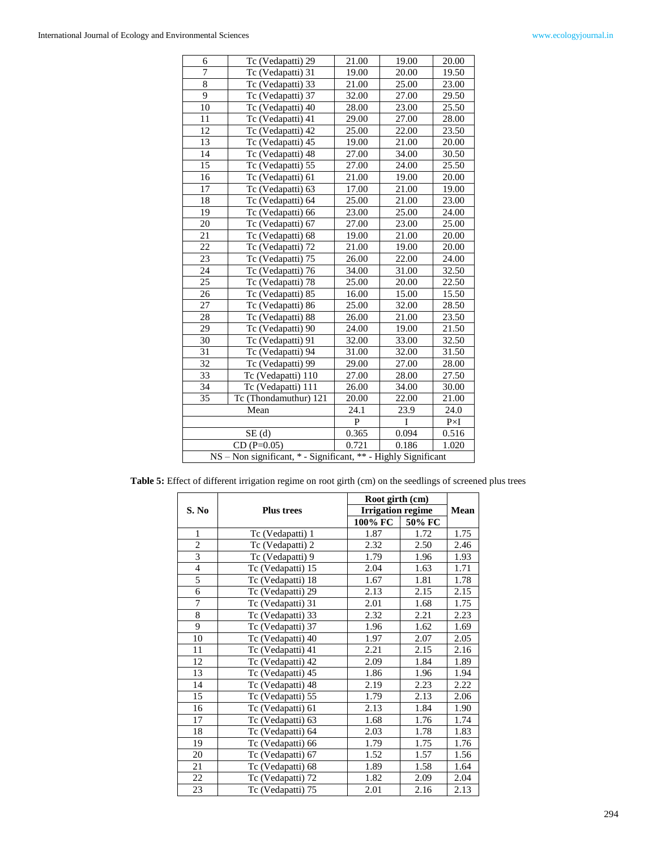| 6                                                              | Tc (Vedapatti) 29                     | 21.00        | 19.00        | 20.00       |  |
|----------------------------------------------------------------|---------------------------------------|--------------|--------------|-------------|--|
| 7                                                              | Tc (Vedapatti) 31                     | 19.00        | 20.00        | 19.50       |  |
| 8                                                              | Tc (Vedapatti) 33                     | 21.00        | 25.00        | 23.00       |  |
| 9                                                              | Tc (Vedapatti) 37                     | 32.00        | 27.00        | 29.50       |  |
| 10                                                             | Tc (Vedapatti) 40                     | 28.00        | 23.00        | 25.50       |  |
| 11                                                             | Tc (Vedapatti) 41                     | 29.00        | 27.00        | 28.00       |  |
| 12                                                             | Tc (Vedapatti) 42                     | 25.00        | 22.00        | 23.50       |  |
| 13                                                             | Tc (Vedapatti) 45                     | 19.00        | 21.00        | 20.00       |  |
| 14                                                             | Tc (Vedapatti) 48                     | 27.00        | 34.00        | 30.50       |  |
| 15                                                             | Tc (Vedapatti) 55                     | 27.00        | 24.00        | 25.50       |  |
| 16                                                             | Tc (Vedapatti) 61                     | 21.00        | 19.00        | 20.00       |  |
| 17                                                             | Tc (Vedapatti) 63                     | 17.00        | 21.00        | 19.00       |  |
| 18                                                             | Tc (Vedapatti) 64                     | 25.00        | 21.00        | 23.00       |  |
| 19                                                             | Tc (Vedapatti) 66                     | 23.00        | 25.00        | 24.00       |  |
| 20                                                             | Tc (Vedapatti) 67                     | 27.00        | 23.00        | 25.00       |  |
| 21                                                             | Tc (Vedapatti) 68                     | 19.00        | 21.00        | 20.00       |  |
| 22                                                             | Tc (Vedapatti) 72                     | 21.00        | 19.00        | 20.00       |  |
| 23                                                             | Tc (Vedapatti) 75                     | 26.00        | 22.00        | 24.00       |  |
| 24                                                             | $\overline{\text{Tc}}$ (Vedapatti) 76 | 34.00        | 31.00        | 32.50       |  |
| $\overline{25}$                                                | Tc (Vedapatti) 78                     | 25.00        | 20.00        | 22.50       |  |
| 26                                                             | Tc (Vedapatti) 85                     | 16.00        | 15.00        | 15.50       |  |
| 27                                                             | Tc (Vedapatti) 86                     | 25.00        | 32.00        | 28.50       |  |
| 28                                                             | Tc (Vedapatti) 88                     | 26.00        | 21.00        | 23.50       |  |
| 29                                                             | Tc (Vedapatti) 90                     | 24.00        | 19.00        | 21.50       |  |
| 30                                                             | Tc (Vedapatti) 91                     | 32.00        | 33.00        | 32.50       |  |
| 31                                                             | Tc (Vedapatti) 94                     | 31.00        | 32.00        | 31.50       |  |
| 32                                                             | Tc (Vedapatti) 99                     | 29.00        | 27.00        | 28.00       |  |
| 33                                                             | Tc (Vedapatti) 110                    | 27.00        | 28.00        | 27.50       |  |
| 34                                                             | Tc (Vedapatti) 111                    | 26.00        | 34.00        | 30.00       |  |
| 35                                                             | Tc (Thondamuthur) 121                 | 20.00        | 22.00        | 21.00       |  |
|                                                                | Mean                                  | 24.1         | 23.9         | 24.0        |  |
|                                                                |                                       | $\mathbf{P}$ | $\mathbf{I}$ | $P\times I$ |  |
|                                                                | SE(d)                                 | 0.365        | 0.094        | 0.516       |  |
|                                                                | $CD(P=0.05)$                          | 0.721        | 0.186        | 1.020       |  |
| NS - Non significant, * - Significant, ** - Highly Significant |                                       |              |              |             |  |

Table 5: Effect of different irrigation regime on root girth (cm) on the seedlings of screened plus trees

|                |                   | Root girth (cm)          |        |      |
|----------------|-------------------|--------------------------|--------|------|
| S. No          | <b>Plus trees</b> | <b>Irrigation regime</b> |        | Mean |
|                |                   | 100% FC                  | 50% FC |      |
| $\mathbf{1}$   | Tc (Vedapatti) 1  | 1.87                     | 1.72   | 1.75 |
| $\overline{c}$ | Tc (Vedapatti) 2  | 2.32                     | 2.50   | 2.46 |
| 3              | Tc (Vedapatti) 9  | 1.79                     | 1.96   | 1.93 |
| $\overline{4}$ | Tc (Vedapatti) 15 | 2.04                     | 1.63   | 1.71 |
| $\overline{5}$ | Tc (Vedapatti) 18 | 1.67                     | 1.81   | 1.78 |
| 6              | Tc (Vedapatti) 29 | 2.13                     | 2.15   | 2.15 |
| 7              | Tc (Vedapatti) 31 | 2.01                     | 1.68   | 1.75 |
| 8              | Tc (Vedapatti) 33 | 2.32                     | 2.21   | 2.23 |
| 9              | Tc (Vedapatti) 37 | 1.96                     | 1.62   | 1.69 |
| 10             | Tc (Vedapatti) 40 | 1.97                     | 2.07   | 2.05 |
| 11             | Tc (Vedapatti) 41 | 2.21                     | 2.15   | 2.16 |
| 12             | Tc (Vedapatti) 42 | 2.09                     | 1.84   | 1.89 |
| 13             | Tc (Vedapatti) 45 | 1.86                     | 1.96   | 1.94 |
| 14             | Tc (Vedapatti) 48 | 2.19                     | 2.23   | 2.22 |
| 15             | Tc (Vedapatti) 55 | 1.79                     | 2.13   | 2.06 |
| 16             | Tc (Vedapatti) 61 | 2.13                     | 1.84   | 1.90 |
| 17             | Tc (Vedapatti) 63 | 1.68                     | 1.76   | 1.74 |
| 18             | Tc (Vedapatti) 64 | 2.03                     | 1.78   | 1.83 |
| 19             | Tc (Vedapatti) 66 | 1.79                     | 1.75   | 1.76 |
| 20             | Tc (Vedapatti) 67 | 1.52                     | 1.57   | 1.56 |
| 21             | Tc (Vedapatti) 68 | 1.89                     | 1.58   | 1.64 |
| 22             | Tc (Vedapatti) 72 | 1.82                     | 2.09   | 2.04 |
| 23             | Tc (Vedapatti) 75 | 2.01                     | 2.16   | 2.13 |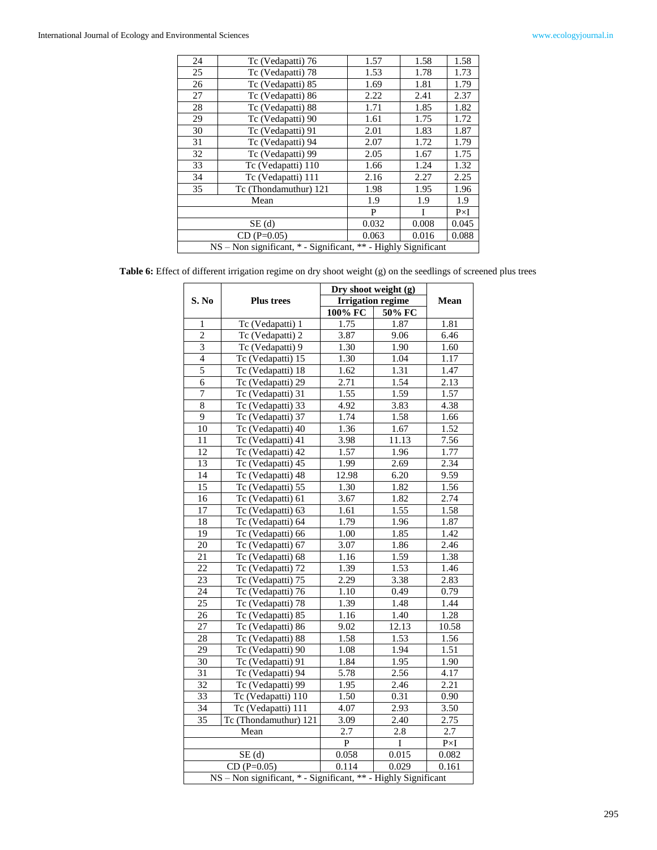| 24 | Tc (Vedapatti) 76                                              |       | 1.58  | 1.58        |  |  |  |
|----|----------------------------------------------------------------|-------|-------|-------------|--|--|--|
| 25 | Tc (Vedapatti) 78                                              |       | 1.78  | 1.73        |  |  |  |
| 26 | Tc (Vedapatti) 85                                              | 1.69  | 1.81  | 1.79        |  |  |  |
| 27 | Tc (Vedapatti) 86                                              | 2.22  | 2.41  | 2.37        |  |  |  |
| 28 | Tc (Vedapatti) 88                                              | 1.71  | 1.85  | 1.82        |  |  |  |
| 29 | Tc (Vedapatti) 90                                              | 1.61  | 1.75  | 1.72        |  |  |  |
| 30 | Tc (Vedapatti) 91                                              | 2.01  | 1.83  | 1.87        |  |  |  |
| 31 | Tc (Vedapatti) 94                                              | 2.07  | 1.72  | 1.79        |  |  |  |
| 32 | Tc (Vedapatti) 99                                              | 2.05  | 1.67  | 1.75        |  |  |  |
| 33 | Tc (Vedapatti) 110                                             | 1.66  | 1.24  | 1.32        |  |  |  |
| 34 | Tc (Vedapatti) 111                                             | 2.16  | 2.27  | 2.25        |  |  |  |
| 35 | Tc (Thondamuthur) 121                                          | 1.98  | 1.95  | 1.96        |  |  |  |
|    | Mean                                                           | 1.9   | 1.9   | 1.9         |  |  |  |
|    |                                                                | P     | I     | $P\times I$ |  |  |  |
|    | SE(d)                                                          | 0.032 | 0.008 | 0.045       |  |  |  |
|    | $CD(P=0.05)$                                                   | 0.063 | 0.016 | 0.088       |  |  |  |
|    | NS – Non significant, * - Significant, ** - Highly Significant |       |       |             |  |  |  |

|  |  | Table 6: Effect of different irrigation regime on dry shoot weight (g) on the seedlings of screened plus trees |  |  |  |
|--|--|----------------------------------------------------------------------------------------------------------------|--|--|--|
|  |  |                                                                                                                |  |  |  |

|                    |                                                                | Dry shoot weight (g)     |         |             |
|--------------------|----------------------------------------------------------------|--------------------------|---------|-------------|
| S. No              | <b>Plus trees</b>                                              | <b>Irrigation regime</b> |         | Mean        |
|                    |                                                                | 100% FC                  | 50% FC  |             |
| 1                  | Tc (Vedapatti) 1                                               | 1.75                     | 1.87    | 1.81        |
| $\overline{2}$     | Tc (Vedapatti) 2                                               | 3.87                     | 9.06    | 6.46        |
| 3                  | Tc (Vedapatti) 9                                               | 1.30                     | 1.90    | 1.60        |
| $\overline{4}$     | Tc (Vedapatti) 15                                              | 1.30                     | 1.04    | 1.17        |
| 5                  | Tc (Vedapatti) 18                                              | 1.62                     | 1.31    | 1.47        |
| 6                  | Tc (Vedapatti) 29                                              | 2.71                     | 1.54    | 2.13        |
| $\overline{7}$     | Tc (Vedapatti) 31                                              | 1.55                     | 1.59    | 1.57        |
| $\overline{\bf 8}$ | Tc (Vedapatti) 33                                              | 4.92                     | 3.83    | 4.38        |
| $\overline{9}$     | Tc (Vedapatti) 37                                              | 1.74                     | 1.58    | 1.66        |
| 10                 | Tc (Vedapatti) 40                                              | 1.36                     | 1.67    | 1.52        |
| 11                 | Tc (Vedapatti) 41                                              | 3.98                     | 11.13   | 7.56        |
| $\overline{12}$    | Tc (Vedapatti) 42                                              | 1.57                     | 1.96    | 1.77        |
| 13                 | Tc (Vedapatti) 45                                              | 1.99                     | 2.69    | 2.34        |
| $\overline{14}$    | Tc (Vedapatti) 48                                              | 12.98                    | 6.20    | 9.59        |
| 15                 | Tc (Vedapatti) 55                                              | 1.30                     | 1.82    | 1.56        |
| 16                 | Tc (Vedapatti) 61                                              | 3.67                     | 1.82    | 2.74        |
| 17                 | Tc (Vedapatti) 63                                              | 1.61                     | 1.55    | 1.58        |
| 18                 | Tc (Vedapatti) 64                                              | 1.79                     | 1.96    | 1.87        |
| 19                 | Tc (Vedapatti) 66                                              | 1.00                     | 1.85    | 1.42        |
| 20                 | Tc (Vedapatti) 67                                              | 3.07                     | 1.86    | 2.46        |
| 21                 | Tc (Vedapatti) 68                                              | 1.16                     | 1.59    | 1.38        |
| 22                 | Tc (Vedapatti) 72                                              | 1.39                     | 1.53    | 1.46        |
| 23                 | Tc (Vedapatti) 75                                              | 2.29                     | 3.38    | 2.83        |
| 24                 | Tc (Vedapatti) 76                                              | 1.10                     | 0.49    | 0.79        |
| $\overline{25}$    | Tc (Vedapatti) 78                                              | 1.39                     | 1.48    | 1.44        |
| 26                 | Tc (Vedapatti) 85                                              | 1.16                     | 1.40    | 1.28        |
| 27                 | Tc (Vedapatti) 86                                              | 9.02                     | 12.13   | 10.58       |
| 28                 | Tc (Vedapatti) 88                                              | 1.58                     | 1.53    | 1.56        |
| $\overline{29}$    | Tc (Vedapatti) 90                                              | 1.08                     | 1.94    | 1.51        |
| $\overline{30}$    | Tc (Vedapatti) 91                                              | 1.84                     | 1.95    | 1.90        |
| $\overline{31}$    | Tc (Vedapatti) 94                                              | 5.78                     | 2.56    | 4.17        |
| 32                 | Tc (Vedapatti) 99                                              | 1.95                     | 2.46    | 2.21        |
| 33                 | Tc (Vedapatti) 110                                             | 1.50                     | 0.31    | 0.90        |
| 34                 | Tc (Vedapatti) 111                                             | 4.07                     | 2.93    | 3.50        |
| 35                 | Tc (Thondamuthur) 121                                          | 3.09                     | 2.40    | 2.75        |
|                    | Mean                                                           | 2.7                      | $2.8\,$ | 2.7         |
|                    |                                                                | ${\bf P}$                | $\bf I$ | $P\times I$ |
|                    | SE(d)                                                          | 0.058                    | 0.015   | 0.082       |
|                    | $CD(P=0.05)$                                                   | 0.114                    | 0.029   | 0.161       |
|                    | NS - Non significant, * - Significant, ** - Highly Significant |                          |         |             |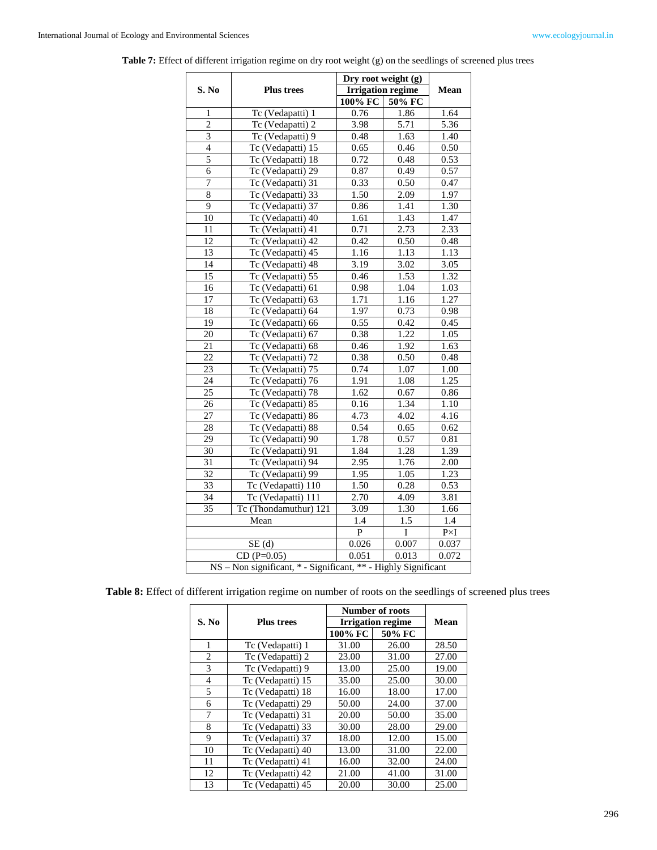|                 |                                                                | Dry root weight (g)      |                   |                                |
|-----------------|----------------------------------------------------------------|--------------------------|-------------------|--------------------------------|
| S. No           | <b>Plus trees</b>                                              | <b>Irrigation regime</b> | Mean              |                                |
|                 |                                                                | 100% FC                  | 50% FC            |                                |
| $\mathbf{1}$    | Tc (Vedapatti) 1                                               | 0.76                     | 1.86              | 1.64                           |
| $\overline{c}$  | Tc (Vedapatti) 2                                               | 3.98                     | $\overline{5.71}$ | 5.36                           |
| $\overline{3}$  | Tc (Vedapatti) 9                                               | 0.48                     | 1.63              | 1.40                           |
| $\overline{4}$  | Tc (Vedapatti) 15                                              | 0.65                     | 0.46              | 0.50                           |
| 5               | Tc (Vedapatti) 18                                              | 0.72                     | 0.48              | 0.53                           |
| 6               | Tc (Vedapatti) 29                                              | 0.87                     | 0.49              | 0.57                           |
| 7               | Tc (Vedapatti) 31                                              | 0.33                     | 0.50              | 0.47                           |
| $\overline{8}$  | Tc (Vedapatti) 33                                              | 1.50                     | 2.09              | 1.97                           |
| 9               | Tc (Vedapatti) 37                                              | 0.86                     | 1.41              | 1.30                           |
| 10              | Tc (Vedapatti) 40                                              | 1.61                     | 1.43              | 1.47                           |
| 11              | Tc (Vedapatti) 41                                              | 0.71                     | 2.73              | 2.33                           |
| 12              | Tc (Vedapatti) 42                                              | 0.42                     | 0.50              | 0.48                           |
| 13              | Tc (Vedapatti) 45                                              | 1.16                     | 1.13              | 1.13                           |
| 14              | Tc (Vedapatti) 48                                              | 3.19                     | 3.02              | 3.05                           |
| 15              | Tc (Vedapatti) 55                                              | 0.46                     | 1.53              | 1.32                           |
| 16              | Tc (Vedapatti) 61                                              | 0.98                     | 1.04              | 1.03                           |
| 17              | Tc (Vedapatti) 63                                              | 1.71                     | 1.16              | 1.27                           |
| 18              | Tc (Vedapatti) 64                                              | 1.97                     | 0.73              | 0.98                           |
| 19              | Tc (Vedapatti) 66                                              | 0.55                     | 0.42              | 0.45                           |
| 20              | Tc (Vedapatti) 67                                              | 0.38                     | 1.22              | 1.05                           |
| 21              | Tc (Vedapatti) 68                                              | 0.46                     | 1.92              | 1.63                           |
| 22              | Tc (Vedapatti) 72                                              | 0.38                     | 0.50              | 0.48                           |
| $\overline{23}$ | Tc (Vedapatti) 75                                              | 0.74                     | 1.07              | 1.00                           |
| 24              | Tc (Vedapatti) 76                                              | 1.91                     | 1.08              | 1.25                           |
| 25              | Tc (Vedapatti) 78                                              | 1.62                     | 0.67              | 0.86                           |
| 26              | Tc (Vedapatti) 85                                              | 0.16                     | 1.34              | 1.10                           |
| $\overline{27}$ | Tc (Vedapatti) 86                                              | 4.73                     | 4.02              | 4.16                           |
| $\overline{28}$ | Tc (Vedapatti) 88                                              | 0.54                     | 0.65              | 0.62                           |
| $\overline{29}$ | Tc (Vedapatti) 90                                              | 1.78                     | 0.57              | 0.81                           |
| $\overline{30}$ | Tc (Vedapatti) 91                                              | 1.84                     | 1.28              | 1.39                           |
| $\overline{31}$ | Tc (Vedapatti) 94                                              | 2.95                     | 1.76              | 2.00                           |
| $\overline{32}$ | Tc (Vedapatti) 99                                              | 1.95                     | 1.05              | 1.23                           |
| $\overline{33}$ | Tc (Vedapatti) 110                                             | 1.50                     | 0.28              | 0.53                           |
| 34              | Tc (Vedapatti) 111                                             | 2.70                     | 4.09              | 3.81                           |
| 35              | Tc (Thondamuthur) 121                                          |                          | 1.30              | 1.66                           |
|                 | Mean                                                           | 1.4                      | 1.5               | 1.4                            |
|                 |                                                                | $\overline{P}$           | $\bf I$           | $\mathbf{P}{\times}\mathbf{I}$ |
|                 | SE(d)                                                          | 0.026                    | 0.007             | 0.037                          |
|                 | $CD(P=0.05)$                                                   | 0.051                    | 0.013             | 0.072                          |
|                 | NS - Non significant, * - Significant, ** - Highly Significant |                          |                   |                                |

Table 7: Effect of different irrigation regime on dry root weight (g) on the seedlings of screened plus trees

|  |  | Table 8: Effect of different irrigation regime on number of roots on the seedlings of screened plus trees |  |  |
|--|--|-----------------------------------------------------------------------------------------------------------|--|--|
|  |  |                                                                                                           |  |  |

|                |                   | <b>Number of roots</b>   |        |       |
|----------------|-------------------|--------------------------|--------|-------|
| S. No          | <b>Plus trees</b> | <b>Irrigation regime</b> | Mean   |       |
|                |                   | 100% FC                  | 50% FC |       |
| 1              | Tc (Vedapatti) 1  | 31.00                    | 26.00  | 28.50 |
| $\overline{c}$ | Tc (Vedapatti) 2  | 23.00                    | 31.00  | 27.00 |
| 3              | Tc (Vedapatti) 9  | 13.00                    | 25.00  | 19.00 |
| $\overline{4}$ | Tc (Vedapatti) 15 | 35.00                    | 25.00  | 30.00 |
| 5              | Tc (Vedapatti) 18 | 16.00                    | 18.00  | 17.00 |
| 6              | Tc (Vedapatti) 29 | 50.00                    | 24.00  | 37.00 |
| 7              | Tc (Vedapatti) 31 | 20.00                    | 50.00  | 35.00 |
| 8              | Tc (Vedapatti) 33 | 30.00                    | 28.00  | 29.00 |
| 9              | Tc (Vedapatti) 37 | 18.00                    | 12.00  | 15.00 |
| 10             | Tc (Vedapatti) 40 | 13.00                    | 31.00  | 22.00 |
| 11             | Tc (Vedapatti) 41 | 16.00                    | 32.00  | 24.00 |
| 12             | Tc (Vedapatti) 42 | 21.00                    | 41.00  | 31.00 |
| 13             | Tc (Vedapatti) 45 | 20.00                    | 30.00  | 25.00 |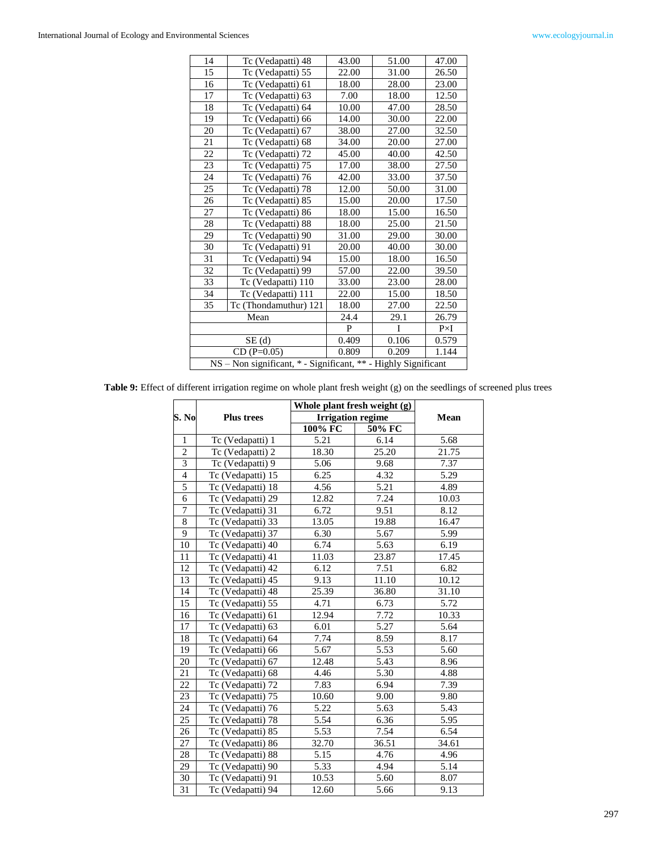| 14                                                             | Tc (Vedapatti) 48     | 43.00 | 51.00 | 47.00       |  |
|----------------------------------------------------------------|-----------------------|-------|-------|-------------|--|
| 15                                                             | Tc (Vedapatti) 55     | 22.00 | 31.00 | 26.50       |  |
| 16                                                             | Tc (Vedapatti) 61     | 18.00 | 28.00 | 23.00       |  |
| 17                                                             | Tc (Vedapatti) 63     | 7.00  | 18.00 | 12.50       |  |
| 18                                                             | Tc (Vedapatti) 64     | 10.00 | 47.00 | 28.50       |  |
| 19                                                             | Tc (Vedapatti) 66     | 14.00 | 30.00 | 22.00       |  |
| 20                                                             | Tc (Vedapatti) 67     | 38.00 | 27.00 | 32.50       |  |
| 21                                                             | Tc (Vedapatti) 68     | 34.00 | 20.00 | 27.00       |  |
| 22                                                             | Tc (Vedapatti) 72     | 45.00 | 40.00 | 42.50       |  |
| 23                                                             | Tc (Vedapatti) 75     | 17.00 | 38.00 | 27.50       |  |
| 24                                                             | Tc (Vedapatti) 76     | 42.00 | 33.00 | 37.50       |  |
| 25                                                             | Tc (Vedapatti) 78     | 12.00 | 50.00 | 31.00       |  |
| 26                                                             | Tc (Vedapatti) 85     | 15.00 | 20.00 | 17.50       |  |
| 27                                                             | Tc (Vedapatti) 86     | 18.00 | 15.00 | 16.50       |  |
| 28                                                             | Tc (Vedapatti) 88     | 18.00 | 25.00 | 21.50       |  |
| 29                                                             | Tc (Vedapatti) 90     | 31.00 | 29.00 | 30.00       |  |
| 30                                                             | Tc (Vedapatti) 91     | 20.00 | 40.00 | 30.00       |  |
| 31                                                             | Tc (Vedapatti) 94     | 15.00 | 18.00 | 16.50       |  |
| 32                                                             | Tc (Vedapatti) 99     | 57.00 | 22.00 | 39.50       |  |
| 33                                                             | Tc (Vedapatti) 110    | 33.00 | 23.00 | 28.00       |  |
| 34                                                             | Tc (Vedapatti) 111    | 22.00 | 15.00 | 18.50       |  |
| 35                                                             | Tc (Thondamuthur) 121 | 18.00 | 27.00 | 22.50       |  |
|                                                                | Mean                  | 24.4  | 29.1  | 26.79       |  |
|                                                                |                       | P     | I     | $P\times I$ |  |
|                                                                | SE(d)                 | 0.409 | 0.106 | 0.579       |  |
|                                                                | $CD(P=0.05)$          | 0.809 | 0.209 | 1.144       |  |
| NS - Non significant, * - Significant, ** - Highly Significant |                       |       |       |             |  |

**Table 9:** Effect of different irrigation regime on whole plant fresh weight (g) on the seedlings of screened plus trees

|                 |                   | Whole plant fresh weight (g) | Mean              |                   |
|-----------------|-------------------|------------------------------|-------------------|-------------------|
| S. No           | <b>Plus trees</b> | <b>Irrigation regime</b>     |                   |                   |
|                 |                   | 100% FC                      | 50% FC            |                   |
| $\mathbf{1}$    | Tc (Vedapatti) 1  | 5.21                         | 6.14              | 5.68              |
| $\overline{2}$  | Tc (Vedapatti) 2  | 18.30                        | 25.20             | 21.75             |
| $\overline{3}$  | Tc (Vedapatti) 9  | 5.06                         | 9.68              | 7.37              |
| $\overline{4}$  | Tc (Vedapatti) 15 | 6.25                         | 4.32              | 5.29              |
| 5               | Tc (Vedapatti) 18 | 4.56                         | 5.21              | 4.89              |
| 6               | Tc (Vedapatti) 29 | 12.82                        | 7.24              | 10.03             |
| $\overline{7}$  | Tc (Vedapatti) 31 | 6.72                         | 9.51              | 8.12              |
| $\overline{8}$  | Tc (Vedapatti) 33 | 13.05                        | 19.88             | 16.47             |
| 9               | Tc (Vedapatti) 37 | 6.30                         | 5.67              | 5.99              |
| 10              | Tc (Vedapatti) 40 | 6.74                         | 5.63              | 6.19              |
| 11              | Tc (Vedapatti) 41 | 11.03                        | 23.87             | 17.45             |
| 12              | Tc (Vedapatti) 42 | 6.12                         | 7.51              | 6.82              |
| $\overline{13}$ | Tc (Vedapatti) 45 | 9.13                         | 11.10             | 10.12             |
| 14              | Tc (Vedapatti) 48 | 25.39                        | 36.80             | 31.10             |
| 15              | Tc (Vedapatti) 55 | 4.71                         | 6.73              | $\overline{5.72}$ |
| 16              | Tc (Vedapatti) 61 | 12.94                        | 7.72              | 10.33             |
| 17              | Tc (Vedapatti) 63 | 6.01                         | 5.27              | 5.64              |
| 18              | Tc (Vedapatti) 64 | 7.74                         | 8.59              | 8.17              |
| 19              | Tc (Vedapatti) 66 | 5.67                         | 5.53              | 5.60              |
| 20              | Tc (Vedapatti) 67 | 12.48                        | 5.43              | 8.96              |
| 21              | Tc (Vedapatti) 68 | 4.46                         | $\overline{5.30}$ | 4.88              |
| 22              | Tc (Vedapatti) 72 | 7.83                         | 6.94              | 7.39              |
| 23              | Tc (Vedapatti) 75 | 10.60                        | 9.00              | 9.80              |
| 24              | Tc (Vedapatti) 76 | 5.22                         | 5.63              | 5.43              |
| 25              | Tc (Vedapatti) 78 | 5.54                         | 6.36              | 5.95              |
| 26              | Tc (Vedapatti) 85 | 5.53                         | 7.54              | 6.54              |
| 27              | Tc (Vedapatti) 86 | 32.70                        | 36.51             | 34.61             |
| 28              | Tc (Vedapatti) 88 | 5.15                         | 4.76              | 4.96              |
| 29              | Tc (Vedapatti) 90 | 5.33                         | 4.94              | 5.14              |
| 30              | Tc (Vedapatti) 91 | 10.53                        | 5.60              | 8.07              |
| 31              | Tc (Vedapatti) 94 | 12.60                        | 5.66              | 9.13              |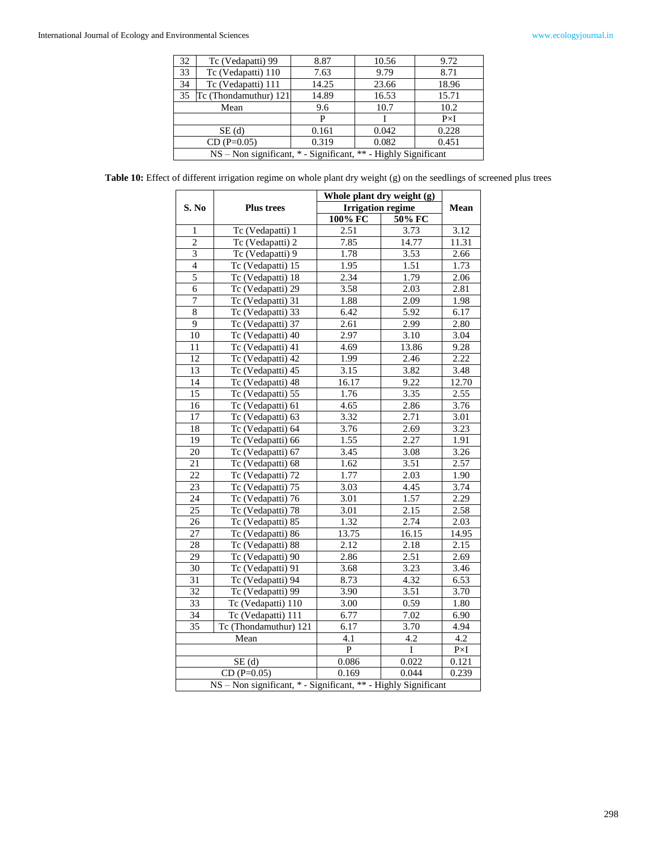| 32                                                             | Tc (Vedapatti) 99     | 8.87           | 10.56 | 9.72        |
|----------------------------------------------------------------|-----------------------|----------------|-------|-------------|
| 33                                                             | Tc (Vedapatti) 110    | 7.63           | 9.79  | 8.71        |
| 34                                                             | Tc (Vedapatti) 111    | 14.25          | 23.66 | 18.96       |
| 35                                                             | Tc (Thondamuthur) 121 | 14.89          | 16.53 | 15.71       |
| Mean                                                           |                       | 9.6            | 10.7  | 10.2        |
|                                                                |                       | P              |       | $P\times I$ |
| SE(d)                                                          |                       | 0.161          | 0.042 | 0.228       |
| $CD(P=0.05)$                                                   |                       | 0.319<br>0.082 |       | 0.451       |
| NS - Non significant, * - Significant, ** - Highly Significant |                       |                |       |             |

**Table 10:** Effect of different irrigation regime on whole plant dry weight (g) on the seedlings of screened plus trees

|                 |                                                                | Whole plant dry weight (g) | Mean              |                   |  |  |
|-----------------|----------------------------------------------------------------|----------------------------|-------------------|-------------------|--|--|
| S. No           | <b>Plus trees</b>                                              | <b>Irrigation regime</b>   |                   |                   |  |  |
|                 |                                                                | 100% FC                    | 50% FC            |                   |  |  |
| 1               | Tc (Vedapatti) 1                                               | 2.51                       | 3.73              | 3.12              |  |  |
| $\overline{2}$  | Tc (Vedapatti) 2                                               | 7.85                       | 14.77             | 11.31             |  |  |
| $\overline{3}$  | Tc (Vedapatti) 9                                               | 1.78                       | 3.53              | 2.66              |  |  |
| $\overline{4}$  | Tc (Vedapatti) 15                                              | 1.95                       | 1.51              | 1.73              |  |  |
| 5               | Tc (Vedapatti) 18                                              | 2.34                       | 1.79              | 2.06              |  |  |
| 6               | Tc (Vedapatti) 29                                              | 3.58                       | 2.03              | 2.81              |  |  |
| $\overline{7}$  | Tc (Vedapatti) 31                                              | 1.88                       | 2.09              | 1.98              |  |  |
| $\,8\,$         | Tc (Vedapatti) 33                                              | 6.42                       | 5.92              | 6.17              |  |  |
| $\overline{9}$  | Tc (Vedapatti) 37                                              | 2.61                       | 2.99              | 2.80              |  |  |
| 10              | Tc (Vedapatti) 40                                              | 2.97                       | 3.10              | 3.04              |  |  |
| 11              | Tc (Vedapatti) 41                                              | 4.69                       | 13.86             | 9.28              |  |  |
| 12              | Tc (Vedapatti) 42                                              | 1.99                       | 2.46              | 2.22              |  |  |
| 13              | Tc (Vedapatti) 45                                              | 3.15                       | 3.82              | 3.48              |  |  |
| 14              | Tc (Vedapatti) 48                                              | 16.17                      | 9.22              | 12.70             |  |  |
| $\overline{15}$ | Tc (Vedapatti) 55                                              | 1.76                       | 3.35              | 2.55              |  |  |
| 16              | Tc (Vedapatti) 61                                              | 4.65                       | 2.86              | 3.76              |  |  |
| $\overline{17}$ | Tc (Vedapatti) 63                                              | 3.32                       | 2.71              | 3.01              |  |  |
| 18              | Tc (Vedapatti) 64                                              | 3.76                       | 2.69              | 3.23              |  |  |
| 19              | Tc (Vedapatti) 66                                              | 1.55                       | 2.27              | 1.91              |  |  |
| 20              | Tc (Vedapatti) 67                                              | 3.45                       | 3.08              | 3.26              |  |  |
| 21              | Tc (Vedapatti) 68                                              | 1.62                       | 3.51              | 2.57              |  |  |
| $\overline{22}$ | Tc (Vedapatti) 72                                              | 1.77                       | 2.03              | $\overline{1.90}$ |  |  |
| 23              | Tc (Vedapatti) 75                                              | 3.03                       | 4.45              | 3.74              |  |  |
| 24              | Tc (Vedapatti) 76                                              | 3.01                       | 1.57              | 2.29              |  |  |
| 25              | Tc (Vedapatti) 78                                              | 3.01                       | 2.15              | 2.58              |  |  |
| 26              | Tc (Vedapatti) 85                                              | 1.32                       | 2.74              | 2.03              |  |  |
| 27              | Tc (Vedapatti) 86                                              | 13.75                      | 16.15             | 14.95             |  |  |
| 28              | Tc (Vedapatti) 88                                              | 2.12                       | 2.18              | 2.15              |  |  |
| 29              | Tc (Vedapatti) 90                                              | 2.86                       | 2.51              | 2.69              |  |  |
| 30              | Tc (Vedapatti) 91                                              | 3.68                       | 3.23              | 3.46              |  |  |
| 31              | Tc (Vedapatti) 94                                              | 8.73                       | 4.32              | 6.53              |  |  |
| 32              | Tc (Vedapatti) 99                                              | 3.90                       | 3.51              | 3.70              |  |  |
| $\overline{33}$ | Tc (Vedapatti) 110                                             | 3.00                       | 0.59              | 1.80              |  |  |
| 34              | Tc (Vedapatti) 111                                             | 6.77                       | $\overline{7.02}$ | 6.90              |  |  |
| 35              | Tc (Thondamuthur) 121                                          | 6.17                       | 3.70              | 4.94              |  |  |
| Mean            |                                                                | 4.1                        | 4.2               | 4.2               |  |  |
|                 |                                                                | $\overline{P}$             | I                 | $P\times I$       |  |  |
| SE(d)           |                                                                | 0.086                      | 0.022             | 0.121             |  |  |
|                 | $CD(P=0.05)$                                                   | 0.169                      | 0.044             | 0.239             |  |  |
|                 | NS - Non significant, * - Significant, ** - Highly Significant |                            |                   |                   |  |  |